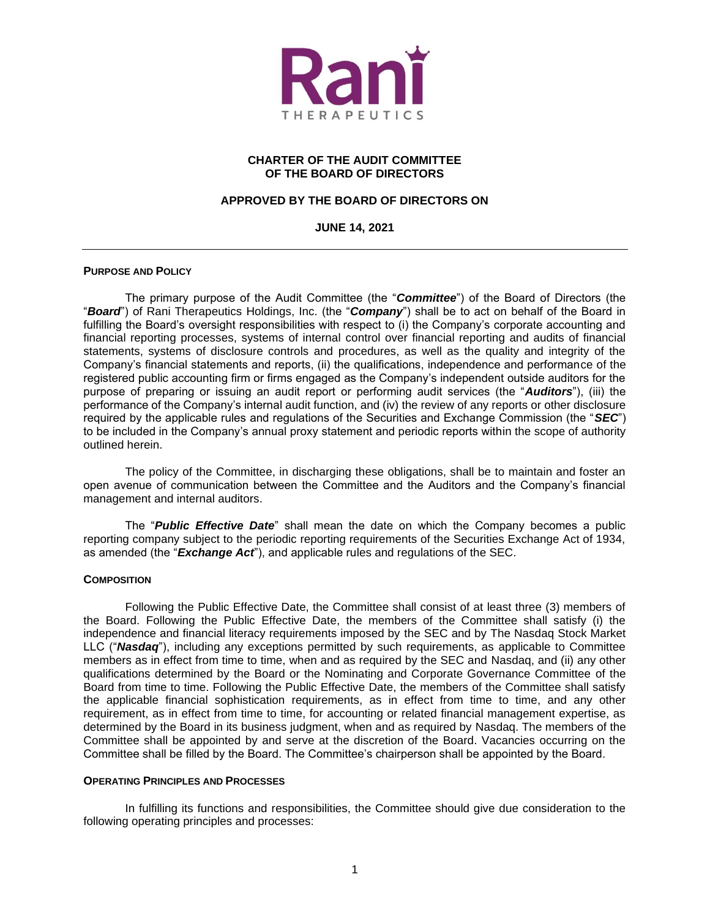

# **CHARTER OF THE AUDIT COMMITTEE OF THE BOARD OF DIRECTORS**

# **APPROVED BY THE BOARD OF DIRECTORS ON**

#### **JUNE 14, 2021**

#### **PURPOSE AND POLICY**

The primary purpose of the Audit Committee (the "*Committee*") of the Board of Directors (the "*Board*") of Rani Therapeutics Holdings, Inc. (the "*Company*") shall be to act on behalf of the Board in fulfilling the Board's oversight responsibilities with respect to (i) the Company's corporate accounting and financial reporting processes, systems of internal control over financial reporting and audits of financial statements, systems of disclosure controls and procedures, as well as the quality and integrity of the Company's financial statements and reports, (ii) the qualifications, independence and performance of the registered public accounting firm or firms engaged as the Company's independent outside auditors for the purpose of preparing or issuing an audit report or performing audit services (the "*Auditors*"), (iii) the performance of the Company's internal audit function, and (iv) the review of any reports or other disclosure required by the applicable rules and regulations of the Securities and Exchange Commission (the "*SEC*") to be included in the Company's annual proxy statement and periodic reports within the scope of authority outlined herein.

The policy of the Committee, in discharging these obligations, shall be to maintain and foster an open avenue of communication between the Committee and the Auditors and the Company's financial management and internal auditors.

The "*Public Effective Date*" shall mean the date on which the Company becomes a public reporting company subject to the periodic reporting requirements of the Securities Exchange Act of 1934, as amended (the "*Exchange Act*"), and applicable rules and regulations of the SEC.

#### **COMPOSITION**

Following the Public Effective Date, the Committee shall consist of at least three (3) members of the Board. Following the Public Effective Date, the members of the Committee shall satisfy (i) the independence and financial literacy requirements imposed by the SEC and by The Nasdaq Stock Market LLC ("*Nasdaq*"), including any exceptions permitted by such requirements, as applicable to Committee members as in effect from time to time, when and as required by the SEC and Nasdaq, and (ii) any other qualifications determined by the Board or the Nominating and Corporate Governance Committee of the Board from time to time. Following the Public Effective Date, the members of the Committee shall satisfy the applicable financial sophistication requirements, as in effect from time to time, and any other requirement, as in effect from time to time, for accounting or related financial management expertise, as determined by the Board in its business judgment, when and as required by Nasdaq. The members of the Committee shall be appointed by and serve at the discretion of the Board. Vacancies occurring on the Committee shall be filled by the Board. The Committee's chairperson shall be appointed by the Board.

## **OPERATING PRINCIPLES AND PROCESSES**

In fulfilling its functions and responsibilities, the Committee should give due consideration to the following operating principles and processes: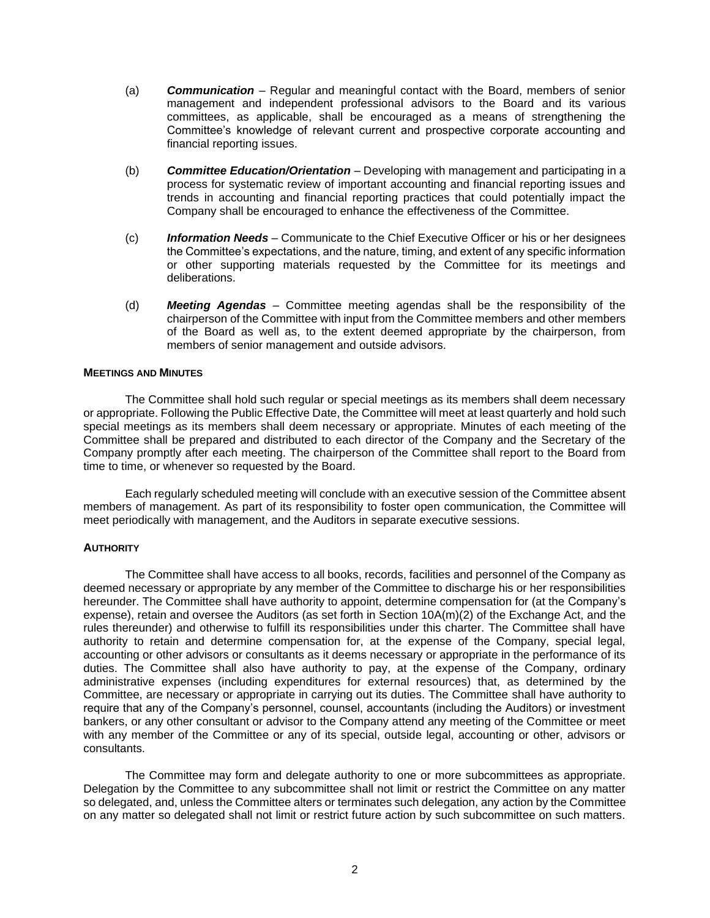- (a) *Communication* Regular and meaningful contact with the Board, members of senior management and independent professional advisors to the Board and its various committees, as applicable, shall be encouraged as a means of strengthening the Committee's knowledge of relevant current and prospective corporate accounting and financial reporting issues.
- (b) *Committee Education/Orientation* Developing with management and participating in a process for systematic review of important accounting and financial reporting issues and trends in accounting and financial reporting practices that could potentially impact the Company shall be encouraged to enhance the effectiveness of the Committee.
- (c) *Information Needs* Communicate to the Chief Executive Officer or his or her designees the Committee's expectations, and the nature, timing, and extent of any specific information or other supporting materials requested by the Committee for its meetings and deliberations.
- (d) *Meeting Agendas* Committee meeting agendas shall be the responsibility of the chairperson of the Committee with input from the Committee members and other members of the Board as well as, to the extent deemed appropriate by the chairperson, from members of senior management and outside advisors.

## **MEETINGS AND MINUTES**

The Committee shall hold such regular or special meetings as its members shall deem necessary or appropriate. Following the Public Effective Date, the Committee will meet at least quarterly and hold such special meetings as its members shall deem necessary or appropriate. Minutes of each meeting of the Committee shall be prepared and distributed to each director of the Company and the Secretary of the Company promptly after each meeting. The chairperson of the Committee shall report to the Board from time to time, or whenever so requested by the Board.

Each regularly scheduled meeting will conclude with an executive session of the Committee absent members of management. As part of its responsibility to foster open communication, the Committee will meet periodically with management, and the Auditors in separate executive sessions.

#### **AUTHORITY**

The Committee shall have access to all books, records, facilities and personnel of the Company as deemed necessary or appropriate by any member of the Committee to discharge his or her responsibilities hereunder. The Committee shall have authority to appoint, determine compensation for (at the Company's expense), retain and oversee the Auditors (as set forth in Section 10A(m)(2) of the Exchange Act, and the rules thereunder) and otherwise to fulfill its responsibilities under this charter. The Committee shall have authority to retain and determine compensation for, at the expense of the Company, special legal, accounting or other advisors or consultants as it deems necessary or appropriate in the performance of its duties. The Committee shall also have authority to pay, at the expense of the Company, ordinary administrative expenses (including expenditures for external resources) that, as determined by the Committee, are necessary or appropriate in carrying out its duties. The Committee shall have authority to require that any of the Company's personnel, counsel, accountants (including the Auditors) or investment bankers, or any other consultant or advisor to the Company attend any meeting of the Committee or meet with any member of the Committee or any of its special, outside legal, accounting or other, advisors or consultants.

The Committee may form and delegate authority to one or more subcommittees as appropriate. Delegation by the Committee to any subcommittee shall not limit or restrict the Committee on any matter so delegated, and, unless the Committee alters or terminates such delegation, any action by the Committee on any matter so delegated shall not limit or restrict future action by such subcommittee on such matters.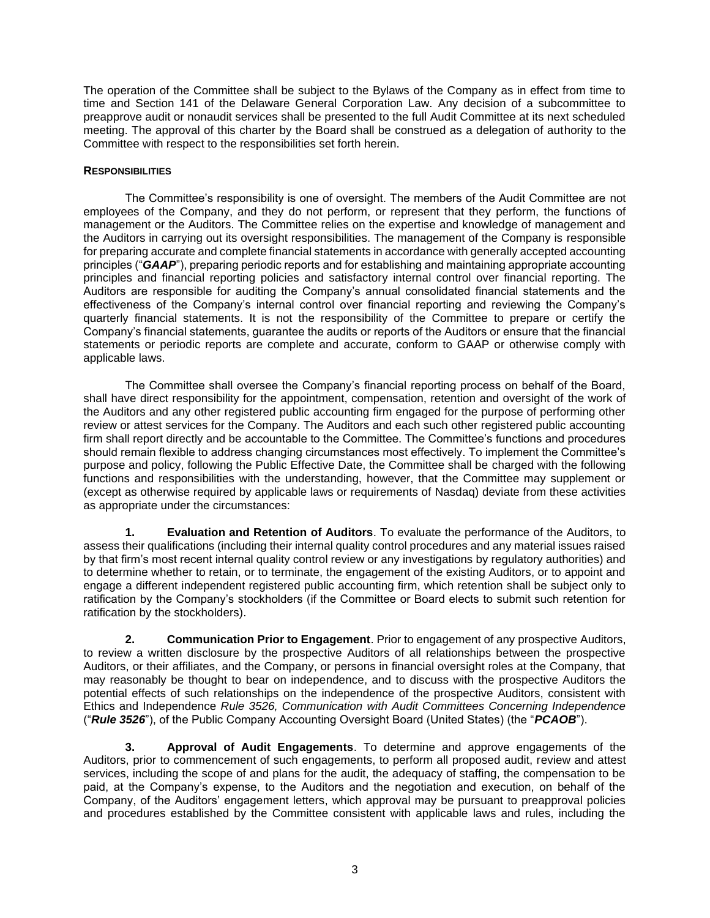The operation of the Committee shall be subject to the Bylaws of the Company as in effect from time to time and Section 141 of the Delaware General Corporation Law. Any decision of a subcommittee to preapprove audit or nonaudit services shall be presented to the full Audit Committee at its next scheduled meeting. The approval of this charter by the Board shall be construed as a delegation of authority to the Committee with respect to the responsibilities set forth herein.

## **RESPONSIBILITIES**

The Committee's responsibility is one of oversight. The members of the Audit Committee are not employees of the Company, and they do not perform, or represent that they perform, the functions of management or the Auditors. The Committee relies on the expertise and knowledge of management and the Auditors in carrying out its oversight responsibilities. The management of the Company is responsible for preparing accurate and complete financial statements in accordance with generally accepted accounting principles ("*GAAP*"), preparing periodic reports and for establishing and maintaining appropriate accounting principles and financial reporting policies and satisfactory internal control over financial reporting. The Auditors are responsible for auditing the Company's annual consolidated financial statements and the effectiveness of the Company's internal control over financial reporting and reviewing the Company's quarterly financial statements. It is not the responsibility of the Committee to prepare or certify the Company's financial statements, guarantee the audits or reports of the Auditors or ensure that the financial statements or periodic reports are complete and accurate, conform to GAAP or otherwise comply with applicable laws.

The Committee shall oversee the Company's financial reporting process on behalf of the Board, shall have direct responsibility for the appointment, compensation, retention and oversight of the work of the Auditors and any other registered public accounting firm engaged for the purpose of performing other review or attest services for the Company. The Auditors and each such other registered public accounting firm shall report directly and be accountable to the Committee. The Committee's functions and procedures should remain flexible to address changing circumstances most effectively. To implement the Committee's purpose and policy, following the Public Effective Date, the Committee shall be charged with the following functions and responsibilities with the understanding, however, that the Committee may supplement or (except as otherwise required by applicable laws or requirements of Nasdaq) deviate from these activities as appropriate under the circumstances:

**1. Evaluation and Retention of Auditors**. To evaluate the performance of the Auditors, to assess their qualifications (including their internal quality control procedures and any material issues raised by that firm's most recent internal quality control review or any investigations by regulatory authorities) and to determine whether to retain, or to terminate, the engagement of the existing Auditors, or to appoint and engage a different independent registered public accounting firm, which retention shall be subject only to ratification by the Company's stockholders (if the Committee or Board elects to submit such retention for ratification by the stockholders).

**2. Communication Prior to Engagement**. Prior to engagement of any prospective Auditors, to review a written disclosure by the prospective Auditors of all relationships between the prospective Auditors, or their affiliates, and the Company, or persons in financial oversight roles at the Company, that may reasonably be thought to bear on independence, and to discuss with the prospective Auditors the potential effects of such relationships on the independence of the prospective Auditors, consistent with Ethics and Independence *Rule 3526, Communication with Audit Committees Concerning Independence* ("*Rule 3526*"), of the Public Company Accounting Oversight Board (United States) (the "*PCAOB*").

**3. Approval of Audit Engagements**. To determine and approve engagements of the Auditors, prior to commencement of such engagements, to perform all proposed audit, review and attest services, including the scope of and plans for the audit, the adequacy of staffing, the compensation to be paid, at the Company's expense, to the Auditors and the negotiation and execution, on behalf of the Company, of the Auditors' engagement letters, which approval may be pursuant to preapproval policies and procedures established by the Committee consistent with applicable laws and rules, including the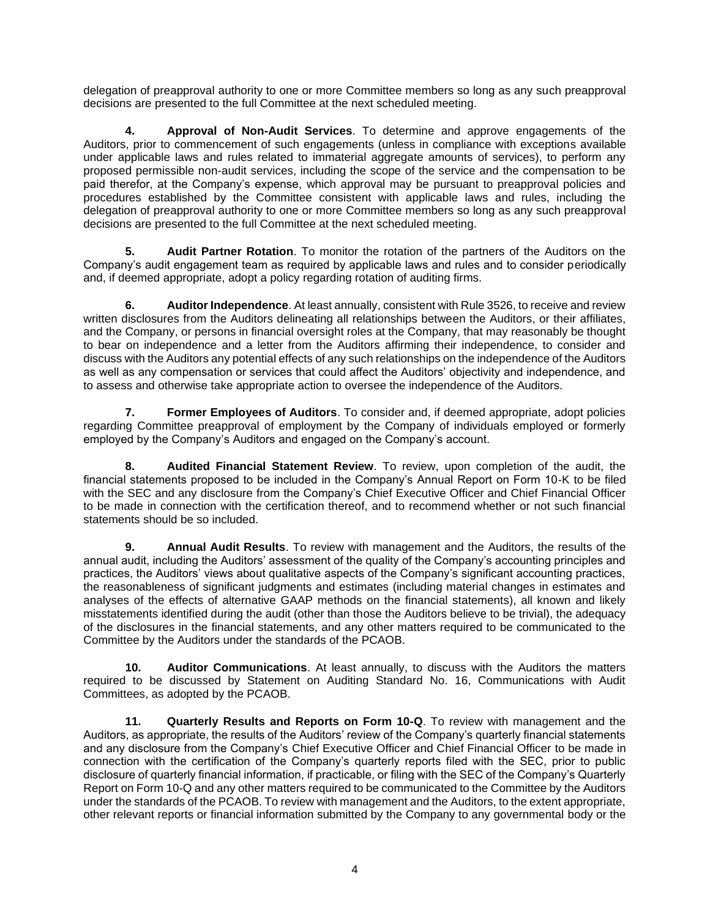delegation of preapproval authority to one or more Committee members so long as any such preapproval decisions are presented to the full Committee at the next scheduled meeting.

**4. Approval of Non-Audit Services**. To determine and approve engagements of the Auditors, prior to commencement of such engagements (unless in compliance with exceptions available under applicable laws and rules related to immaterial aggregate amounts of services), to perform any proposed permissible non-audit services, including the scope of the service and the compensation to be paid therefor, at the Company's expense, which approval may be pursuant to preapproval policies and procedures established by the Committee consistent with applicable laws and rules, including the delegation of preapproval authority to one or more Committee members so long as any such preapproval decisions are presented to the full Committee at the next scheduled meeting.

**5. Audit Partner Rotation**. To monitor the rotation of the partners of the Auditors on the Company's audit engagement team as required by applicable laws and rules and to consider periodically and, if deemed appropriate, adopt a policy regarding rotation of auditing firms.

**6. Auditor Independence**. At least annually, consistent with Rule 3526, to receive and review written disclosures from the Auditors delineating all relationships between the Auditors, or their affiliates, and the Company, or persons in financial oversight roles at the Company, that may reasonably be thought to bear on independence and a letter from the Auditors affirming their independence, to consider and discuss with the Auditors any potential effects of any such relationships on the independence of the Auditors as well as any compensation or services that could affect the Auditors' objectivity and independence, and to assess and otherwise take appropriate action to oversee the independence of the Auditors.

**7. Former Employees of Auditors**. To consider and, if deemed appropriate, adopt policies regarding Committee preapproval of employment by the Company of individuals employed or formerly employed by the Company's Auditors and engaged on the Company's account.

**8. Audited Financial Statement Review**. To review, upon completion of the audit, the financial statements proposed to be included in the Company's Annual Report on Form 10-K to be filed with the SEC and any disclosure from the Company's Chief Executive Officer and Chief Financial Officer to be made in connection with the certification thereof, and to recommend whether or not such financial statements should be so included.

**9. Annual Audit Results**. To review with management and the Auditors, the results of the annual audit, including the Auditors' assessment of the quality of the Company's accounting principles and practices, the Auditors' views about qualitative aspects of the Company's significant accounting practices, the reasonableness of significant judgments and estimates (including material changes in estimates and analyses of the effects of alternative GAAP methods on the financial statements), all known and likely misstatements identified during the audit (other than those the Auditors believe to be trivial), the adequacy of the disclosures in the financial statements, and any other matters required to be communicated to the Committee by the Auditors under the standards of the PCAOB.

**10. Auditor Communications**. At least annually, to discuss with the Auditors the matters required to be discussed by Statement on Auditing Standard No. 16, Communications with Audit Committees, as adopted by the PCAOB.

**11. Quarterly Results and Reports on Form 10-Q**. To review with management and the Auditors, as appropriate, the results of the Auditors' review of the Company's quarterly financial statements and any disclosure from the Company's Chief Executive Officer and Chief Financial Officer to be made in connection with the certification of the Company's quarterly reports filed with the SEC, prior to public disclosure of quarterly financial information, if practicable, or filing with the SEC of the Company's Quarterly Report on Form 10-Q and any other matters required to be communicated to the Committee by the Auditors under the standards of the PCAOB. To review with management and the Auditors, to the extent appropriate, other relevant reports or financial information submitted by the Company to any governmental body or the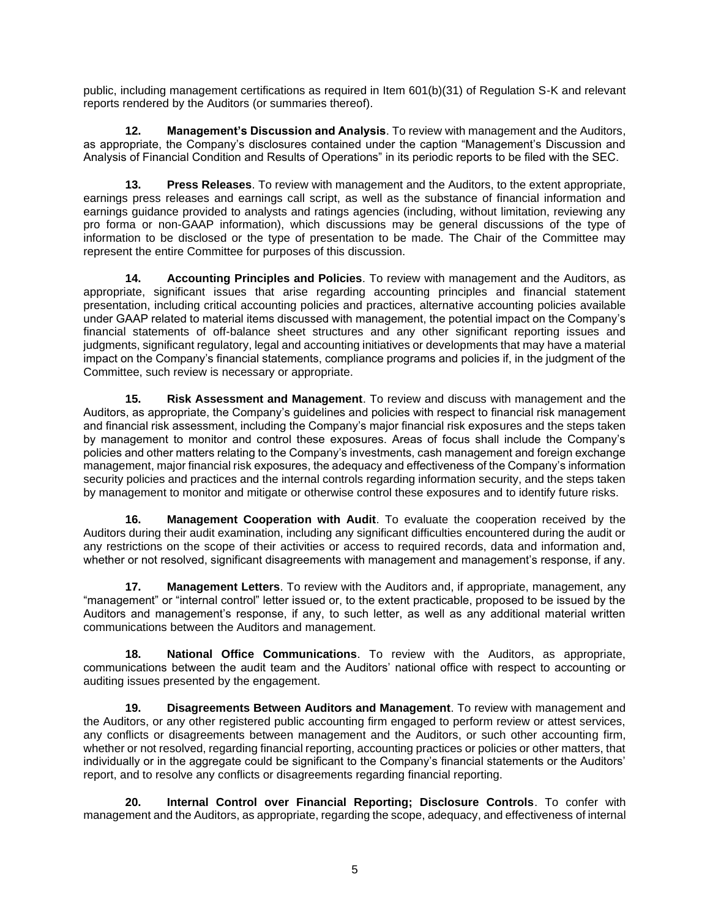public, including management certifications as required in Item 601(b)(31) of Regulation S-K and relevant reports rendered by the Auditors (or summaries thereof).

**12. Management's Discussion and Analysis**. To review with management and the Auditors, as appropriate, the Company's disclosures contained under the caption "Management's Discussion and Analysis of Financial Condition and Results of Operations" in its periodic reports to be filed with the SEC.

**13. Press Releases**. To review with management and the Auditors, to the extent appropriate, earnings press releases and earnings call script, as well as the substance of financial information and earnings guidance provided to analysts and ratings agencies (including, without limitation, reviewing any pro forma or non-GAAP information), which discussions may be general discussions of the type of information to be disclosed or the type of presentation to be made. The Chair of the Committee may represent the entire Committee for purposes of this discussion.

**14. Accounting Principles and Policies**. To review with management and the Auditors, as appropriate, significant issues that arise regarding accounting principles and financial statement presentation, including critical accounting policies and practices, alternative accounting policies available under GAAP related to material items discussed with management, the potential impact on the Company's financial statements of off-balance sheet structures and any other significant reporting issues and judgments, significant regulatory, legal and accounting initiatives or developments that may have a material impact on the Company's financial statements, compliance programs and policies if, in the judgment of the Committee, such review is necessary or appropriate.

**15. Risk Assessment and Management**. To review and discuss with management and the Auditors, as appropriate, the Company's guidelines and policies with respect to financial risk management and financial risk assessment, including the Company's major financial risk exposures and the steps taken by management to monitor and control these exposures. Areas of focus shall include the Company's policies and other matters relating to the Company's investments, cash management and foreign exchange management, major financial risk exposures, the adequacy and effectiveness of the Company's information security policies and practices and the internal controls regarding information security, and the steps taken by management to monitor and mitigate or otherwise control these exposures and to identify future risks.

**16. Management Cooperation with Audit**. To evaluate the cooperation received by the Auditors during their audit examination, including any significant difficulties encountered during the audit or any restrictions on the scope of their activities or access to required records, data and information and, whether or not resolved, significant disagreements with management and management's response, if any.

**17. Management Letters**. To review with the Auditors and, if appropriate, management, any "management" or "internal control" letter issued or, to the extent practicable, proposed to be issued by the Auditors and management's response, if any, to such letter, as well as any additional material written communications between the Auditors and management.

**18. National Office Communications**. To review with the Auditors, as appropriate, communications between the audit team and the Auditors' national office with respect to accounting or auditing issues presented by the engagement.

**19. Disagreements Between Auditors and Management**. To review with management and the Auditors, or any other registered public accounting firm engaged to perform review or attest services, any conflicts or disagreements between management and the Auditors, or such other accounting firm, whether or not resolved, regarding financial reporting, accounting practices or policies or other matters, that individually or in the aggregate could be significant to the Company's financial statements or the Auditors' report, and to resolve any conflicts or disagreements regarding financial reporting.

**20. Internal Control over Financial Reporting; Disclosure Controls**. To confer with management and the Auditors, as appropriate, regarding the scope, adequacy, and effectiveness of internal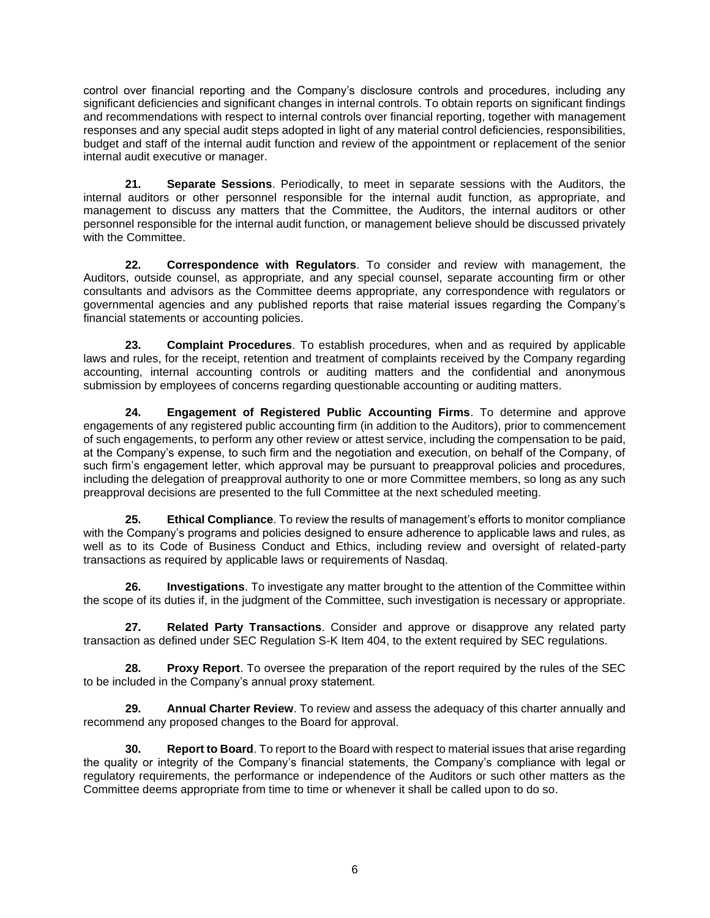control over financial reporting and the Company's disclosure controls and procedures, including any significant deficiencies and significant changes in internal controls. To obtain reports on significant findings and recommendations with respect to internal controls over financial reporting, together with management responses and any special audit steps adopted in light of any material control deficiencies, responsibilities, budget and staff of the internal audit function and review of the appointment or replacement of the senior internal audit executive or manager.

**21. Separate Sessions**. Periodically, to meet in separate sessions with the Auditors, the internal auditors or other personnel responsible for the internal audit function, as appropriate, and management to discuss any matters that the Committee, the Auditors, the internal auditors or other personnel responsible for the internal audit function, or management believe should be discussed privately with the Committee.

**22. Correspondence with Regulators**. To consider and review with management, the Auditors, outside counsel, as appropriate, and any special counsel, separate accounting firm or other consultants and advisors as the Committee deems appropriate, any correspondence with regulators or governmental agencies and any published reports that raise material issues regarding the Company's financial statements or accounting policies.

**23. Complaint Procedures**. To establish procedures, when and as required by applicable laws and rules, for the receipt, retention and treatment of complaints received by the Company regarding accounting, internal accounting controls or auditing matters and the confidential and anonymous submission by employees of concerns regarding questionable accounting or auditing matters.

**24. Engagement of Registered Public Accounting Firms**. To determine and approve engagements of any registered public accounting firm (in addition to the Auditors), prior to commencement of such engagements, to perform any other review or attest service, including the compensation to be paid, at the Company's expense, to such firm and the negotiation and execution, on behalf of the Company, of such firm's engagement letter, which approval may be pursuant to preapproval policies and procedures, including the delegation of preapproval authority to one or more Committee members, so long as any such preapproval decisions are presented to the full Committee at the next scheduled meeting.

**25. Ethical Compliance**. To review the results of management's efforts to monitor compliance with the Company's programs and policies designed to ensure adherence to applicable laws and rules, as well as to its Code of Business Conduct and Ethics, including review and oversight of related-party transactions as required by applicable laws or requirements of Nasdaq.

**26. Investigations**. To investigate any matter brought to the attention of the Committee within the scope of its duties if, in the judgment of the Committee, such investigation is necessary or appropriate.

**27. Related Party Transactions**. Consider and approve or disapprove any related party transaction as defined under SEC Regulation S-K Item 404, to the extent required by SEC regulations.

**28. Proxy Report**. To oversee the preparation of the report required by the rules of the SEC to be included in the Company's annual proxy statement.

**29. Annual Charter Review**. To review and assess the adequacy of this charter annually and recommend any proposed changes to the Board for approval.

**30. Report to Board**. To report to the Board with respect to material issues that arise regarding the quality or integrity of the Company's financial statements, the Company's compliance with legal or regulatory requirements, the performance or independence of the Auditors or such other matters as the Committee deems appropriate from time to time or whenever it shall be called upon to do so.